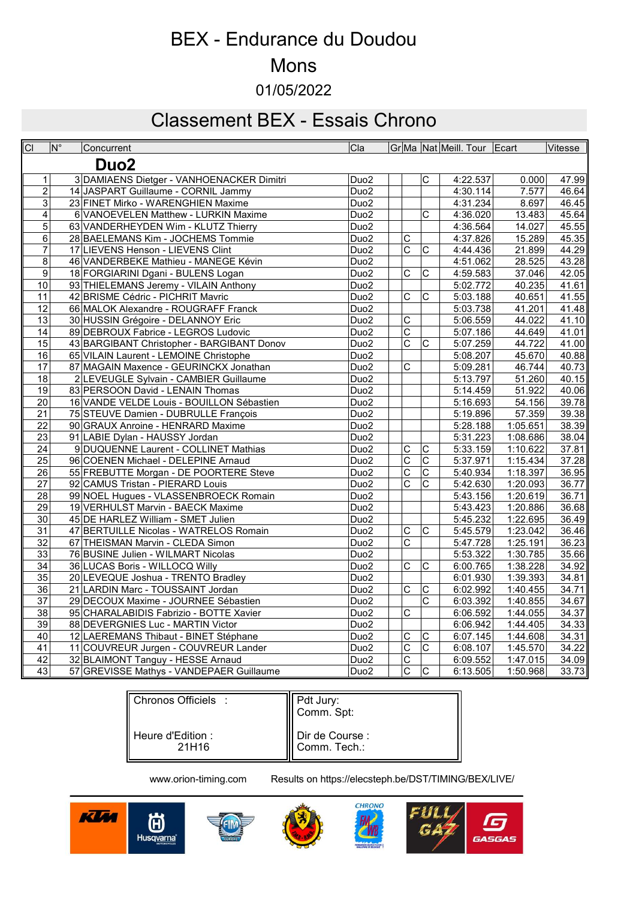# BEX - Endurance du Doudou

### Mons

01/05/2022

# Classement BEX - Essais Chrono

| $\overline{CI}$  | $\overline{\mathsf{N}^{\circ}}$ | Concurrent                                 | $ _{\mathrm{Cla}}$ |                         |                         | Gr Ma   Nat   Meill. Tour   Ecart |          | Vitesse            |
|------------------|---------------------------------|--------------------------------------------|--------------------|-------------------------|-------------------------|-----------------------------------|----------|--------------------|
| Duo <sub>2</sub> |                                 |                                            |                    |                         |                         |                                   |          |                    |
|                  | 1                               | 3 DAMIAENS Dietger - VANHOENACKER Dimitri  | Duo <sub>2</sub>   |                         | C                       | 4:22.537                          | 0.000    | 47.99              |
| $\overline{2}$   |                                 | 14 JASPART Guillaume - CORNIL Jammy        | Duo <sub>2</sub>   |                         |                         | 4:30.114                          | 7.577    | 46.64              |
| $\overline{3}$   |                                 | 23 FINET Mirko - WARENGHIEN Maxime         | Duo <sub>2</sub>   |                         |                         | 4:31.234                          | 8.697    | 46.45              |
| 4                |                                 | 6 VANOEVELEN Matthew - LURKIN Maxime       | Duo <sub>2</sub>   |                         | $\overline{\mathrm{c}}$ | 4:36.020                          | 13.483   | 45.64              |
| $\overline{5}$   |                                 | 63 VANDERHEYDEN Wim - KLUTZ Thierry        | Duo <sub>2</sub>   |                         |                         | 4:36.564                          | 14.027   | 45.55              |
| 6                |                                 | 28 BAELEMANS Kim - JOCHEMS Tommie          | Duo <sub>2</sub>   | $\overline{\text{c}}$   |                         | 4:37.826                          | 15.289   | 45.35              |
| $\overline{7}$   |                                 | 17 LIEVENS Henson - LIEVENS Clint          | Duo <sub>2</sub>   | $\overline{C}$          | C                       | 4:44.436                          | 21.899   | 44.29              |
| $\bf{8}$         |                                 | 46 VANDERBEKE Mathieu - MANEGE Kévin       | Duo <sub>2</sub>   |                         |                         | 4:51.062                          | 28.525   | 43.28              |
| $\overline{9}$   |                                 | 18 FORGIARINI Dgani - BULENS Logan         | Duo <sub>2</sub>   | $\overline{\mathrm{c}}$ | C                       | 4:59.583                          | 37.046   | $\overline{42.05}$ |
| 10               |                                 | 93 THIELEMANS Jeremy - VILAIN Anthony      | Duo <sub>2</sub>   |                         |                         | 5:02.772                          | 40.235   | 41.61              |
| $\overline{11}$  |                                 | 42 BRISME Cédric - PICHRIT Mavric          | Duo <sub>2</sub>   | $\overline{\text{c}}$   | $\overline{\text{c}}$   | 5:03.188                          | 40.651   | 41.55              |
| 12               |                                 | 66 MALOK Alexandre - ROUGRAFF Franck       | Duo <sub>2</sub>   |                         |                         | 5:03.738                          | 41.201   | 41.48              |
| 13               |                                 | 30 HUSSIN Grégoire - DELANNOY Eric         | Duo <sub>2</sub>   | $\overline{\mathrm{c}}$ |                         | 5:06.559                          | 44.022   | 41.10              |
| $\overline{14}$  |                                 | 89 DEBROUX Fabrice - LEGROS Ludovic        | Duo <sub>2</sub>   | $\overline{\mathrm{c}}$ |                         | 5:07.186                          | 44.649   | 41.01              |
| 15               |                                 | 43 BARGIBANT Christopher - BARGIBANT Donov | Duo <sub>2</sub>   | $\overline{\mathsf{c}}$ | $\overline{\text{c}}$   | 5:07.259                          | 44.722   | 41.00              |
| 16               |                                 | 65 VILAIN Laurent - LEMOINE Christophe     | Duo <sub>2</sub>   |                         |                         | 5:08.207                          | 45.670   | 40.88              |
| 17               |                                 | 87 MAGAIN Maxence - GEURINCKX Jonathan     | Duo <sub>2</sub>   | $\overline{\mathrm{c}}$ |                         | 5:09.281                          | 46.744   | 40.73              |
| 18               |                                 | 2 LEVEUGLE Sylvain - CAMBIER Guillaume     | Duo <sub>2</sub>   |                         |                         | 5:13.797                          | 51.260   | 40.15              |
| $\overline{19}$  |                                 | 83 PERSOON David - LENAIN Thomas           | Duo <sub>2</sub>   |                         |                         | 5:14.459                          | 51.922   | 40.06              |
| 20               |                                 | 16 VANDE VELDE Louis - BOUILLON Sébastien  | Duo <sub>2</sub>   |                         |                         | 5:16.693                          | 54.156   | 39.78              |
| 21               |                                 | 75 STEUVE Damien - DUBRULLE François       | Duo <sub>2</sub>   |                         |                         | 5:19.896                          | 57.359   | 39.38              |
| 22               |                                 | 90 GRAUX Anroine - HENRARD Maxime          | Duo <sub>2</sub>   |                         |                         | 5:28.188                          | 1:05.651 | 38.39              |
| 23               |                                 | 91 LABIE Dylan - HAUSSY Jordan             | Duo <sub>2</sub>   |                         |                         | 5:31.223                          | 1:08.686 | 38.04              |
| 24               |                                 | 9 DUQUENNE Laurent - COLLINET Mathias      | Duo <sub>2</sub>   | $\overline{\text{c}}$   | $\overline{\text{c}}$   | 5:33.159                          | 1:10.622 | 37.81              |
| 25               |                                 | 96 COENEN Michael - DELEPINE Arnaud        | Duo <sub>2</sub>   | $\overline{C}$          | $\mathsf C$             | 5:37.971                          | 1:15.434 | 37.28              |
| 26               |                                 | 55 FREBUTTE Morgan - DE POORTERE Steve     | Duo <sub>2</sub>   | $\overline{C}$          | $\overline{C}$          | 5:40.934                          | 1:18.397 | 36.95              |
| 27               |                                 | 92 CAMUS Tristan - PIERARD Louis           | Duo <sub>2</sub>   | $\overline{\mathrm{c}}$ | C                       | 5:42.630                          | 1:20.093 | 36.77              |
| 28               |                                 | 99 NOEL Hugues - VLASSENBROECK Romain      | Duo <sub>2</sub>   |                         |                         | 5:43.156                          | 1:20.619 | 36.71              |
| $\overline{29}$  |                                 | 19 VERHULST Marvin - BAECK Maxime          | Duo <sub>2</sub>   |                         |                         | 5:43.423                          | 1:20.886 | 36.68              |
| 30 <sup>°</sup>  |                                 | 45 DE HARLEZ William - SMET Julien         | Duo <sub>2</sub>   |                         |                         | 5:45.232                          | 1:22.695 | 36.49              |
| 31               |                                 | 47 BERTUILLE Nicolas - WATRELOS Romain     | Duo <sub>2</sub>   | $\overline{C}$          | C                       | 5:45.579                          | 1:23.042 | 36.46              |
| 32               |                                 | 67 THEISMAN Marvin - CLEDA Simon           | Duo <sub>2</sub>   | $\overline{\mathrm{c}}$ |                         | 5:47.728                          | 1:25.191 | 36.23              |
| 33               |                                 | 76 BUSINE Julien - WILMART Nicolas         | Duo <sub>2</sub>   |                         |                         | 5:53.322                          | 1:30.785 | 35.66              |
| $\overline{34}$  |                                 | 36 LUCAS Boris - WILLOCQ Willy             | Duo <sub>2</sub>   | $\overline{\text{c}}$   | $\overline{\text{c}}$   | 6:00.765                          | 1:38.228 | 34.92              |
| 35               |                                 | 20 LEVEQUE Joshua - TRENTO Bradley         | Duo <sub>2</sub>   |                         |                         | 6:01.930                          | 1:39.393 | 34.81              |
| 36               |                                 | 21 LARDIN Marc - TOUSSAINT Jordan          | Duo <sub>2</sub>   | $\overline{\mathsf{C}}$ | C                       | 6:02.992                          | 1:40.455 | 34.71              |
| $\overline{37}$  |                                 | 29 DECOUX Maxime - JOURNEE Sébastien       | Duo <sub>2</sub>   |                         | $\overline{\mathrm{c}}$ | 6:03.392                          | 1:40.855 | 34.67              |
| 38               |                                 | 95 CHARALABIDIS Fabrizio - BOTTE Xavier    | Duo <sub>2</sub>   | $\overline{\text{c}}$   |                         | 6:06.592                          | 1:44.055 | 34.37              |
| $\overline{39}$  |                                 | 88 DEVERGNIES Luc - MARTIN Victor          | Duo <sub>2</sub>   |                         |                         | 6:06.942                          | 1:44.405 | 34.33              |
| 40               |                                 | 12 LAEREMANS Thibaut - BINET Stéphane      | Duo <sub>2</sub>   | $\overline{C}$          | $\mathsf C$             | 6:07.145                          | 1:44.608 | 34.31              |
| 41               |                                 | 11 COUVREUR Jurgen - COUVREUR Lander       | Duo <sub>2</sub>   | $\overline{\mathrm{c}}$ | $\overline{\mathrm{c}}$ | 6:08.107                          | 1:45.570 | 34.22              |
| $\overline{42}$  |                                 | 32 BLAIMONT Tanguy - HESSE Arnaud          | Duo <sub>2</sub>   | $\overline{\text{c}}$   |                         | 6:09.552                          | 1:47.015 | 34.09              |
| 43               |                                 | 57 GREVISSE Mathys - VANDEPAER Guillaume   | Duo <sub>2</sub>   | $\overline{\text{c}}$   | $\overline{\text{c}}$   | 6:13.505                          | 1:50.968 | 33.73              |

| Chronos Officiels :  | Pdt Jury:<br>Comm. Spt: |
|----------------------|-------------------------|
| Il Heure d'Edition : | Dir de Course :         |
| 21H16                | Comm. Tech.:            |

www.orion-timing.com Results on https://elecsteph.be/DST/TIMING/BEX/LIVE/

CHRONO







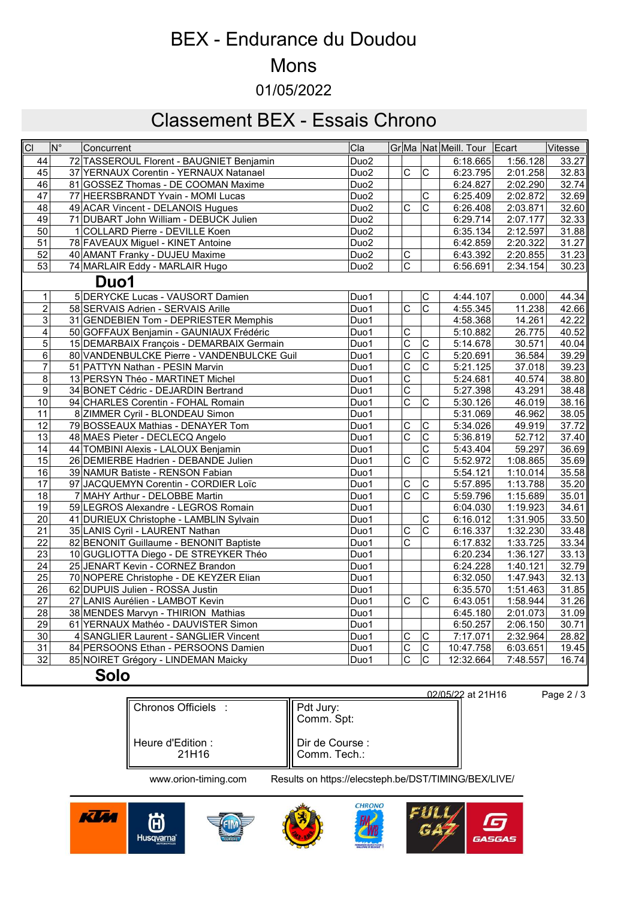# BEX - Endurance du Doudou

#### Mons

01/05/2022

# Classement BEX - Essais Chrono

| $\overline{CI}$ | $\overline{\mathsf{N}^{\circ}}$ | Concurrent                                 | Cla              |                         |                         | Gr Ma   Nat   Meill. Tour   Ecart |          | Vitesse |
|-----------------|---------------------------------|--------------------------------------------|------------------|-------------------------|-------------------------|-----------------------------------|----------|---------|
| 44              |                                 | 72 TASSEROUL Florent - BAUGNIET Benjamin   | Duo <sub>2</sub> |                         |                         | 6:18.665                          | 1:56.128 | 33.27   |
| 45              |                                 | 37 YERNAUX Corentin - YERNAUX Natanael     | Duo <sub>2</sub> | $\overline{\mathrm{c}}$ | $\overline{\mathsf{c}}$ | 6:23.795                          | 2:01.258 | 32.83   |
| $\overline{46}$ |                                 | 81 GOSSEZ Thomas - DE COOMAN Maxime        | Duo <sub>2</sub> |                         |                         | 6:24.827                          | 2:02.290 | 32.74   |
| $\overline{47}$ |                                 | 77 HEERSBRANDT Yvain - MOMI Lucas          | Duo <sub>2</sub> |                         | $\overline{\text{c}}$   | 6:25.409                          | 2:02.872 | 32.69   |
| 48              |                                 | 49 ACAR Vincent - DELANOIS Hugues          | Duo <sub>2</sub> | $\overline{\mathrm{c}}$ | $\mathsf{C}$            | 6:26.408                          | 2:03.871 | 32.60   |
| 49              |                                 | 71 DUBART John William - DEBUCK Julien     | Duo <sub>2</sub> |                         |                         | 6:29.714                          | 2:07.177 | 32.33   |
| 50              |                                 | 1 COLLARD Pierre - DEVILLE Koen            | Duo <sub>2</sub> |                         |                         | 6:35.134                          | 2:12.597 | 31.88   |
| 51              |                                 | 78 FAVEAUX Miguel - KINET Antoine          | Duo <sub>2</sub> |                         |                         | 6:42.859                          | 2:20.322 | 31.27   |
| $\overline{52}$ |                                 | 40 AMANT Franky - DUJEU Maxime             | Duo <sub>2</sub> | $\overline{C}$          |                         | 6:43.392                          | 2:20.855 | 31.23   |
| 53              |                                 | 74 MARLAIR Eddy - MARLAIR Hugo             | Duo <sub>2</sub> | $\overline{C}$          |                         | 6:56.691                          | 2:34.154 | 30.23   |
|                 |                                 | Duo1                                       |                  |                         |                         |                                   |          |         |
| $\mathbf{1}$    |                                 | 5 DERYCKE Lucas - VAUSORT Damien           | Duo1             |                         | $\mathsf C$             | 4:44.107                          | 0.000    | 44.34   |
| $\overline{2}$  |                                 | 58 SERVAIS Adrien - SERVAIS Arille         | Duo1             | $\overline{C}$          | $\overline{c}$          | 4:55.345                          | 11.238   | 42.66   |
| 3               |                                 | 31 GENDEBIEN Tom - DEPRIESTER Memphis      | Duo1             |                         |                         | 4:58.368                          | 14.261   | 42.22   |
| $\overline{4}$  |                                 | 50 GOFFAUX Benjamin - GAUNIAUX Frédéric    | Duo1             | $\overline{\mathsf{c}}$ |                         | 5:10.882                          | 26.775   | 40.52   |
| $\overline{5}$  |                                 | 15 DEMARBAIX François - DEMARBAIX Germain  | Duo1             | C                       | С                       | 5:14.678                          | 30.571   | 40.04   |
| 6               |                                 | 80 VANDENBULCKE Pierre - VANDENBULCKE Guil | Duo1             | $\overline{\mathrm{c}}$ | $\overline{\mathrm{c}}$ | 5:20.691                          | 36.584   | 39.29   |
| $\overline{7}$  |                                 | 51 PATTYN Nathan - PESIN Marvin            | Duo1             | $\overline{C}$          | $\overline{c}$          | 5:21.125                          | 37.018   | 39.23   |
| 8               |                                 | 13 PERSYN Théo - MARTINET Michel           | Duo1             | $\overline{\mathrm{c}}$ |                         | 5:24.681                          | 40.574   | 38.80   |
| $\overline{9}$  |                                 | 34 BONET Cédric - DEJARDIN Bertrand        | Duo1             | $\overline{\mathrm{c}}$ |                         | 5:27.398                          | 43.291   | 38.48   |
| 10              |                                 | 94 CHARLES Corentin - FOHAL Romain         | Duo1             | $\overline{c}$          | $\mathsf C$             | 5:30.126                          | 46.019   | 38.16   |
| 11              |                                 | 8 ZIMMER Cyril - BLONDEAU Simon            | Duo1             |                         |                         | 5:31.069                          | 46.962   | 38.05   |
| 12              |                                 | 79 BOSSEAUX Mathias - DENAYER Tom          | Duo1             | $\overline{\mathrm{c}}$ | $\overline{\mathrm{c}}$ | 5:34.026                          | 49.919   | 37.72   |
| 13              |                                 | 48 MAES Pieter - DECLECQ Angelo            | Duo1             | $\overline{\mathrm{c}}$ | $\overline{\text{c}}$   | 5:36.819                          | 52.712   | 37.40   |
| $\overline{14}$ |                                 | 44 TOMBINI Alexis - LALOUX Benjamin        | Duo1             |                         | C                       | 5:43.404                          | 59.297   | 36.69   |
| 15              |                                 | 26 DEMIERBE Hadrien - DEBANDE Julien       | Duo1             | $\overline{C}$          | Ċ                       | 5:52.972                          | 1:08.865 | 35.69   |
| 16              |                                 | 39 NAMUR Batiste - RENSON Fabian           | Duo1             |                         |                         | 5:54.121                          | 1:10.014 | 35.58   |
| 17              |                                 | 97 JACQUEMYN Corentin - CORDIER Loïc       | Duo1             | $\overline{\mathrm{c}}$ | C                       | 5:57.895                          | 1:13.788 | 35.20   |
| $\overline{18}$ |                                 | 7 MAHY Arthur - DELOBBE Martin             | Duo1             | $\overline{\mathrm{c}}$ | $\overline{\mathrm{c}}$ | 5:59.796                          | 1:15.689 | 35.01   |
| $\overline{19}$ |                                 | 59 LEGROS Alexandre - LEGROS Romain        | Duo1             |                         |                         | 6:04.030                          | 1:19.923 | 34.61   |
| 20              |                                 | 41 DURIEUX Christophe - LAMBLIN Sylvain    | Duo1             |                         | C                       | 6:16.012                          | 1:31.905 | 33.50   |
| 21              |                                 | 35 LANIS Cyril - LAURENT Nathan            | Duo1             | $\overline{C}$          | $\overline{C}$          | 6:16.337                          | 1:32.230 | 33.48   |
| 22              |                                 | 82 BENONIT Guillaume - BENONIT Baptiste    | Duo1             | $\overline{\text{c}}$   |                         | 6:17.832                          | 1:33.725 | 33.34   |
| $\overline{23}$ |                                 | 10 GUGLIOTTA Diego - DE STREYKER Théo      | Duo1             |                         |                         | 6:20.234                          | 1:36.127 | 33.13   |
| $\overline{24}$ |                                 | 25 JENART Kevin - CORNEZ Brandon           | Duo1             |                         |                         | 6:24.228                          | 1:40.121 | 32.79   |
| 25              |                                 | 70 NOPERE Christophe - DE KEYZER Elian     | Duo1             |                         |                         | 6:32.050                          | 1:47.943 | 32.13   |
| $\overline{26}$ |                                 | 62 DUPUIS Julien - ROSSA Justin            | Duo1             |                         |                         | 6:35.570                          | 1:51.463 | 31.85   |
| $\overline{27}$ |                                 | 27 LANIS Aurélien - LAMBOT Kevin           | Duo1             | $\overline{\mathrm{c}}$ | C                       | 6:43.051                          | 1:58.944 | 31.26   |
| 28              |                                 | 38 MENDES Marvyn - THIRION Mathias         | Duo1             |                         |                         | 6:45.180                          | 2:01.073 | 31.09   |
| $\overline{29}$ |                                 | 61 YERNAUX Mathéo - DAUVISTER Simon        | Duo1             |                         |                         | 6:50.257                          | 2:06.150 | 30.71   |
| 30              |                                 | 4 SANGLIER Laurent - SANGLIER Vincent      | Duo1             | $\mathsf C$             | $\mathsf C$             | 7:17.071                          | 2:32.964 | 28.82   |
| $\overline{31}$ |                                 | 84 PERSOONS Ethan - PERSOONS Damien        | Duo1             | $\overline{C}$          | $\overline{C}$          | 10:47.758                         | 6:03.651 | 19.45   |
| $\overline{32}$ |                                 | 85 NOIRET Grégory - LINDEMAN Maicky        | Duo1             | $\overline{\mathrm{c}}$ | $\overline{\mathrm{c}}$ | 12:32.664                         | 7:48.557 | 16.74   |
|                 |                                 | Solo                                       |                  |                         |                         |                                   |          |         |

|                            |                                 | 02/05/22 at 21H16 |
|----------------------------|---------------------------------|-------------------|
| Chronos Officiels :        | Pdt Jury:<br>Comm. Spt:         |                   |
| Heure d'Edition :<br>21H16 | Dir de Course :<br>Comm. Tech.: |                   |

www.orion-timing.com Results on https://elecsteph.be/DST/TIMING/BEX/LIVE/











6 Page 2 / 3